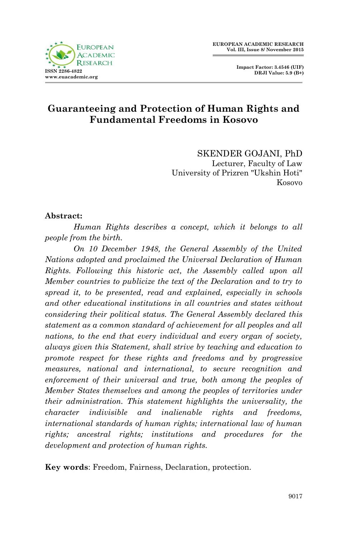

## **Guaranteeing and Protection of Human Rights and Fundamental Freedoms in Kosovo**

SKENDER GOJANI, PhD Lecturer, Faculty of Law University of Prizren "Ukshin Hoti" Kosovo

#### **Abstract:**

*Human Rights describes a concept, which it belongs to all people from the birth.* 

*On 10 December 1948, the General Assembly of the United Nations adopted and proclaimed the Universal Declaration of Human Rights. Following this historic act, the Assembly called upon all Member countries to publicize the text of the Declaration and to try to spread it, to be presented, read and explained, especially in schools and other educational institutions in all countries and states without considering their political status. The General Assembly declared this statement as a common standard of achievement for all peoples and all nations, to the end that every individual and every organ of society, always given this Statement, shall strive by teaching and education to promote respect for these rights and freedoms and by progressive measures, national and international, to secure recognition and*  enforcement of their universal and true, both among the peoples of *Member States themselves and among the peoples of territories under their administration. This statement highlights the universality, the character indivisible and inalienable rights and freedoms, international standards of human rights; international law of human rights; ancestral rights; institutions and procedures for the development and protection of human rights.*

**Key words**: Freedom, Fairness, Declaration, protection.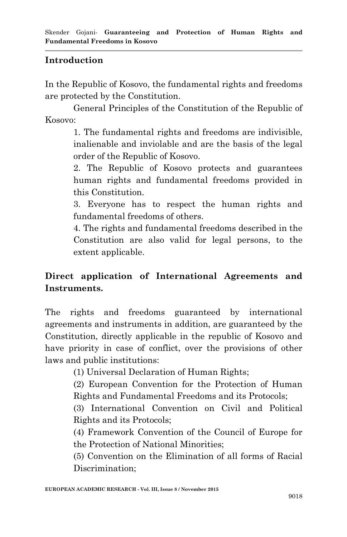#### **Introduction**

In the Republic of Kosovo, the fundamental rights and freedoms are protected by the Constitution.

General Principles of the Constitution of the Republic of Kosovo:

> 1. The fundamental rights and freedoms are indivisible, inalienable and inviolable and are the basis of the legal order of the Republic of Kosovo.

> 2. The Republic of Kosovo protects and guarantees human rights and fundamental freedoms provided in this Constitution.

> 3. Everyone has to respect the human rights and fundamental freedoms of others.

> 4. The rights and fundamental freedoms described in the Constitution are also valid for legal persons, to the extent applicable.

## **Direct application of International Agreements and Instruments.**

The rights and freedoms guaranteed by international agreements and instruments in addition, are guaranteed by the Constitution, directly applicable in the republic of Kosovo and have priority in case of conflict, over the provisions of other laws and public institutions:

(1) Universal Declaration of Human Rights;

(2) European Convention for the Protection of Human Rights and Fundamental Freedoms and its Protocols;

(3) International Convention on Civil and Political Rights and its Protocols;

(4) Framework Convention of the Council of Europe for the Protection of National Minorities;

(5) Convention on the Elimination of all forms of Racial Discrimination;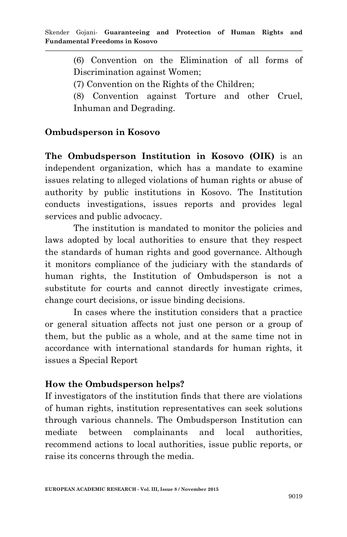(6) Convention on the Elimination of all forms of Discrimination against Women;

(7) Convention on the Rights of the Children;

(8) Convention against Torture and other Cruel, Inhuman and Degrading.

#### **Ombudsperson in Kosovo**

**The Ombudsperson Institution in Kosovo (OIK)** is an independent organization, which has a mandate to examine issues relating to alleged violations of human rights or abuse of authority by public institutions in Kosovo. The Institution conducts investigations, issues reports and provides legal services and public advocacy.

The institution is mandated to monitor the policies and laws adopted by local authorities to ensure that they respect the standards of human rights and good governance. Although it monitors compliance of the judiciary with the standards of human rights, the Institution of Ombudsperson is not a substitute for courts and cannot directly investigate crimes, change court decisions, or issue binding decisions.

In cases where the institution considers that a practice or general situation affects not just one person or a group of them, but the public as a whole, and at the same time not in accordance with international standards for human rights, it issues a Special Report

#### **How the Ombudsperson helps?**

If investigators of the institution finds that there are violations of human rights, institution representatives can seek solutions through various channels. The Ombudsperson Institution can mediate between complainants and local authorities, recommend actions to local authorities, issue public reports, or raise its concerns through the media.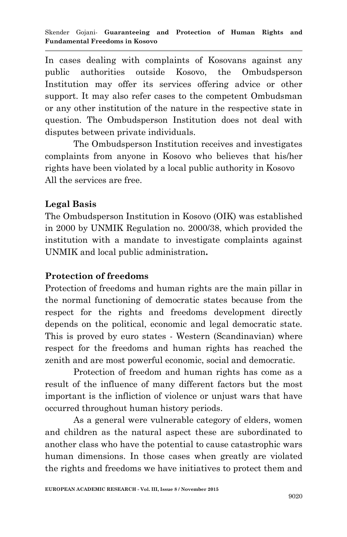In cases dealing with complaints of Kosovans against any public authorities outside Kosovo, the Ombudsperson Institution may offer its services offering advice or other support. It may also refer cases to the competent Ombudsman or any other institution of the nature in the respective state in question. The Ombudsperson Institution does not deal with disputes between private individuals.

The Ombudsperson Institution receives and investigates complaints from anyone in Kosovo who believes that his/her rights have been violated by a local public authority in Kosovo All the services are free.

#### **Legal Basis**

The Ombudsperson Institution in Kosovo (OIK) was established in 2000 by UNMIK Regulation no. 2000/38, which provided the institution with a mandate to investigate complaints against UNMIK and local public administration**.**

## **Protection of freedoms**

Protection of freedoms and human rights are the main pillar in the normal functioning of democratic states because from the respect for the rights and freedoms development directly depends on the political, economic and legal democratic state. This is proved by euro states - Western (Scandinavian) where respect for the freedoms and human rights has reached the zenith and are most powerful economic, social and democratic.

Protection of freedom and human rights has come as a result of the influence of many different factors but the most important is the infliction of violence or unjust wars that have occurred throughout human history periods.

As a general were vulnerable category of elders, women and children as the natural aspect these are subordinated to another class who have the potential to cause catastrophic wars human dimensions. In those cases when greatly are violated the rights and freedoms we have initiatives to protect them and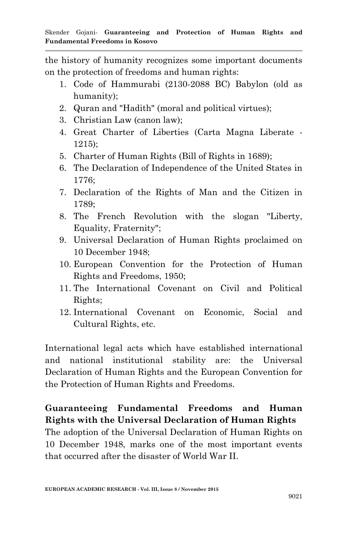the history of humanity recognizes some important documents on the protection of freedoms and human rights:

- 1. Code of Hammurabi (2130-2088 BC) Babylon (old as humanity);
- 2. Quran and "Hadith" (moral and political virtues);
- 3. Christian Law (canon law);
- 4. Great Charter of Liberties (Carta Magna Liberate 1215);
- 5. Charter of Human Rights (Bill of Rights in 1689);
- 6. The Declaration of Independence of the United States in 1776;
- 7. Declaration of the Rights of Man and the Citizen in 1789;
- 8. The French Revolution with the slogan "Liberty, Equality, Fraternity";
- 9. Universal Declaration of Human Rights proclaimed on 10 December 1948;
- 10. European Convention for the Protection of Human Rights and Freedoms, 1950;
- 11. The International Covenant on Civil and Political Rights;
- 12. International Covenant on Economic, Social and Cultural Rights, etc.

International legal acts which have established international and national institutional stability are: the Universal Declaration of Human Rights and the European Convention for the Protection of Human Rights and Freedoms.

# **Guaranteeing Fundamental Freedoms and Human Rights with the Universal Declaration of Human Rights**

The adoption of the Universal Declaration of Human Rights on 10 December 1948, marks one of the most important events that occurred after the disaster of World War II.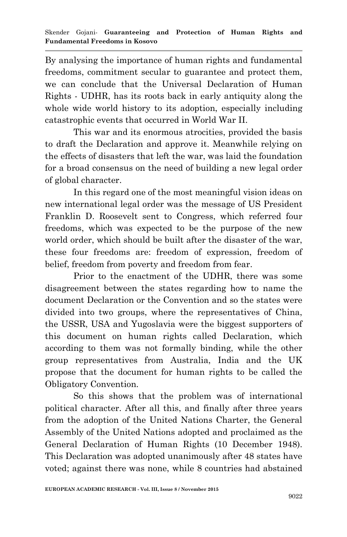By analysing the importance of human rights and fundamental freedoms, commitment secular to guarantee and protect them, we can conclude that the Universal Declaration of Human Rights - UDHR, has its roots back in early antiquity along the whole wide world history to its adoption, especially including catastrophic events that occurred in World War II.

This war and its enormous atrocities, provided the basis to draft the Declaration and approve it. Meanwhile relying on the effects of disasters that left the war, was laid the foundation for a broad consensus on the need of building a new legal order of global character.

In this regard one of the most meaningful vision ideas on new international legal order was the message of US President Franklin D. Roosevelt sent to Congress, which referred four freedoms, which was expected to be the purpose of the new world order, which should be built after the disaster of the war, these four freedoms are: freedom of expression, freedom of belief, freedom from poverty and freedom from fear.

Prior to the enactment of the UDHR, there was some disagreement between the states regarding how to name the document Declaration or the Convention and so the states were divided into two groups, where the representatives of China, the USSR, USA and Yugoslavia were the biggest supporters of this document on human rights called Declaration, which according to them was not formally binding, while the other group representatives from Australia, India and the UK propose that the document for human rights to be called the Obligatory Convention.

So this shows that the problem was of international political character. After all this, and finally after three years from the adoption of the United Nations Charter, the General Assembly of the United Nations adopted and proclaimed as the General Declaration of Human Rights (10 December 1948). This Declaration was adopted unanimously after 48 states have voted; against there was none, while 8 countries had abstained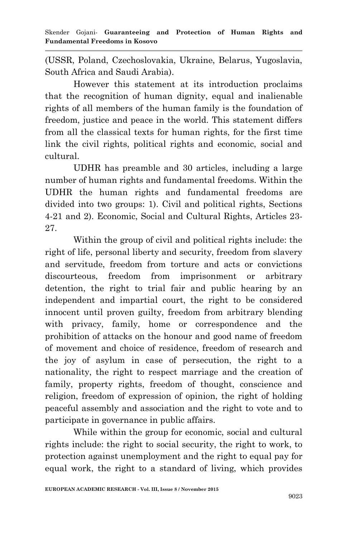(USSR, Poland, Czechoslovakia, Ukraine, Belarus, Yugoslavia, South Africa and Saudi Arabia).

However this statement at its introduction proclaims that the recognition of human dignity, equal and inalienable rights of all members of the human family is the foundation of freedom, justice and peace in the world. This statement differs from all the classical texts for human rights, for the first time link the civil rights, political rights and economic, social and cultural.

UDHR has preamble and 30 articles, including a large number of human rights and fundamental freedoms. Within the UDHR the human rights and fundamental freedoms are divided into two groups: 1). Civil and political rights, Sections 4-21 and 2). Economic, Social and Cultural Rights, Articles 23- 27.

Within the group of civil and political rights include: the right of life, personal liberty and security, freedom from slavery and servitude, freedom from torture and acts or convictions discourteous, freedom from imprisonment or arbitrary detention, the right to trial fair and public hearing by an independent and impartial court, the right to be considered innocent until proven guilty, freedom from arbitrary blending with privacy, family, home or correspondence and the prohibition of attacks on the honour and good name of freedom of movement and choice of residence, freedom of research and the joy of asylum in case of persecution, the right to a nationality, the right to respect marriage and the creation of family, property rights, freedom of thought, conscience and religion, freedom of expression of opinion, the right of holding peaceful assembly and association and the right to vote and to participate in governance in public affairs.

While within the group for economic, social and cultural rights include: the right to social security, the right to work, to protection against unemployment and the right to equal pay for equal work, the right to a standard of living, which provides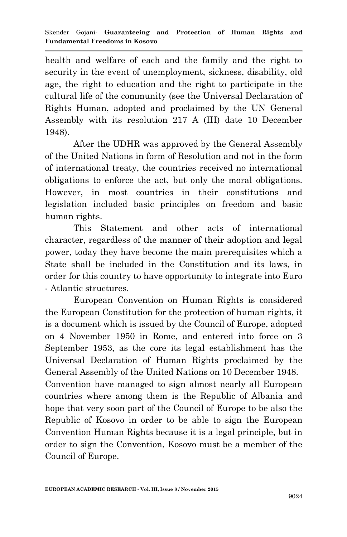health and welfare of each and the family and the right to security in the event of unemployment, sickness, disability, old age, the right to education and the right to participate in the cultural life of the community (see the Universal Declaration of Rights Human, adopted and proclaimed by the UN General Assembly with its resolution 217 A (III) date 10 December 1948).

After the UDHR was approved by the General Assembly of the United Nations in form of Resolution and not in the form of international treaty, the countries received no international obligations to enforce the act, but only the moral obligations. However, in most countries in their constitutions and legislation included basic principles on freedom and basic human rights.

This Statement and other acts of international character, regardless of the manner of their adoption and legal power, today they have become the main prerequisites which a State shall be included in the Constitution and its laws, in order for this country to have opportunity to integrate into Euro - Atlantic structures.

European Convention on Human Rights is considered the European Constitution for the protection of human rights, it is a document which is issued by the Council of Europe, adopted on 4 November 1950 in Rome, and entered into force on 3 September 1953, as the core its legal establishment has the Universal Declaration of Human Rights proclaimed by the General Assembly of the United Nations on 10 December 1948. Convention have managed to sign almost nearly all European countries where among them is the Republic of Albania and hope that very soon part of the Council of Europe to be also the Republic of Kosovo in order to be able to sign the European Convention Human Rights because it is a legal principle, but in order to sign the Convention, Kosovo must be a member of the Council of Europe.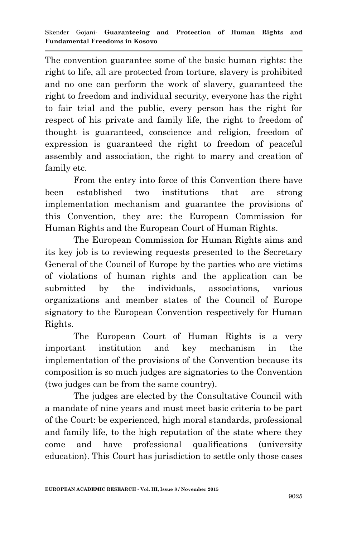The convention guarantee some of the basic human rights: the right to life, all are protected from torture, slavery is prohibited and no one can perform the work of slavery, guaranteed the right to freedom and individual security, everyone has the right to fair trial and the public, every person has the right for respect of his private and family life, the right to freedom of thought is guaranteed, conscience and religion, freedom of expression is guaranteed the right to freedom of peaceful assembly and association, the right to marry and creation of family etc.

From the entry into force of this Convention there have been established two institutions that are strong implementation mechanism and guarantee the provisions of this Convention, they are: the European Commission for Human Rights and the European Court of Human Rights.

The European Commission for Human Rights aims and its key job is to reviewing requests presented to the Secretary General of the Council of Europe by the parties who are victims of violations of human rights and the application can be submitted by the individuals, associations, various organizations and member states of the Council of Europe signatory to the European Convention respectively for Human Rights.

The European Court of Human Rights is a very important institution and key mechanism in the implementation of the provisions of the Convention because its composition is so much judges are signatories to the Convention (two judges can be from the same country).

The judges are elected by the Consultative Council with a mandate of nine years and must meet basic criteria to be part of the Court: be experienced, high moral standards, professional and family life, to the high reputation of the state where they come and have professional qualifications (university education). This Court has jurisdiction to settle only those cases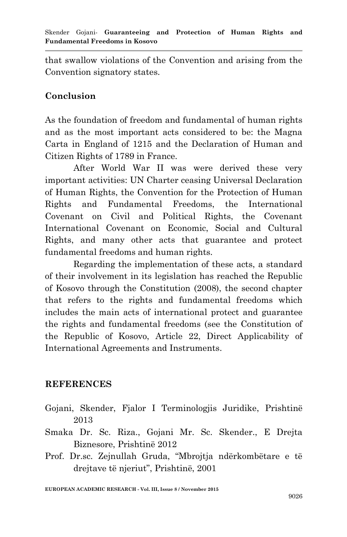that swallow violations of the Convention and arising from the Convention signatory states.

## **Conclusion**

As the foundation of freedom and fundamental of human rights and as the most important acts considered to be: the Magna Carta in England of 1215 and the Declaration of Human and Citizen Rights of 1789 in France.

After World War II was were derived these very important activities: UN Charter ceasing Universal Declaration of Human Rights, the Convention for the Protection of Human Rights and Fundamental Freedoms, the International Covenant on Civil and Political Rights, the Covenant International Covenant on Economic, Social and Cultural Rights, and many other acts that guarantee and protect fundamental freedoms and human rights.

Regarding the implementation of these acts, a standard of their involvement in its legislation has reached the Republic of Kosovo through the Constitution (2008), the second chapter that refers to the rights and fundamental freedoms which includes the main acts of international protect and guarantee the rights and fundamental freedoms (see the Constitution of the Republic of Kosovo, Article 22, Direct Applicability of International Agreements and Instruments.

#### **REFERENCES**

- Gojani, Skender, Fjalor I Terminologjis Juridike, Prishtinë 2013
- Smaka Dr. Sc. Riza., Gojani Mr. Sc. Skender., E Drejta Biznesore, Prishtinë 2012
- Prof. Dr.sc. Zejnullah Gruda, "Mbrojtja ndërkombëtare e të drejtave të njeriut", Prishtinë, 2001